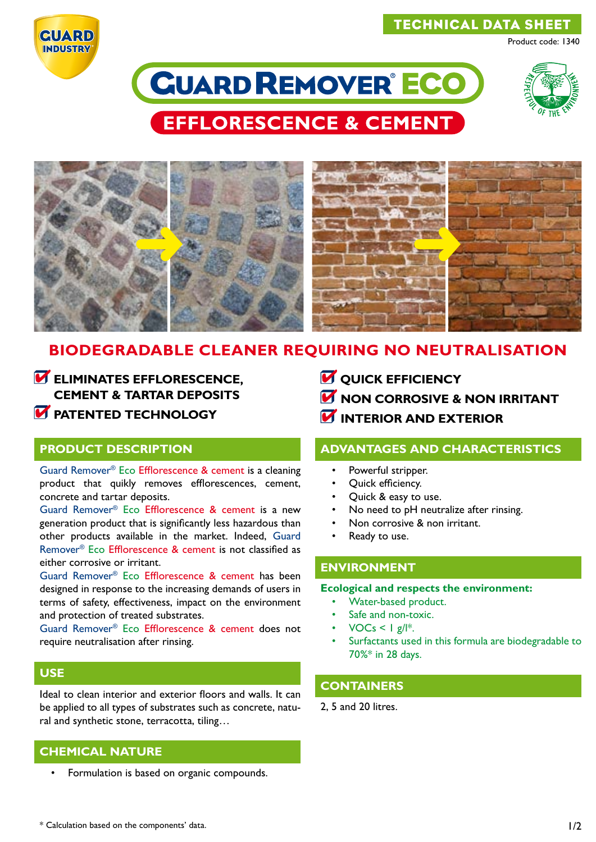## TECHNICAL DATA SHEET

Product code: 1340



# **CUARD REMOVER ECO**



**EFFLORESCENCE & CEMENT** 



## **BIODEGRADABLE CLEANER REQUIRING NO NEUTRALISATION**

*ELIMINATES EFFLORESCENCE,* **CEMENT & TARTAR DEPOSITS** *M* PATENTED TECHNOLOGY

### **PRODUCT DESCRIPTION**

Guard Remover® Eco Efflorescence & cement is a cleaning product that quikly removes efflorescences, cement, concrete and tartar deposits.

Guard Remover® Eco Efflorescence & cement is a new generation product that is significantly less hazardous than other products available in the market. Indeed, Guard Remover® Eco Efflorescence & cement is not classified as either corrosive or irritant.

Guard Remover® Eco Efflorescence & cement has been designed in response to the increasing demands of users in terms of safety, effectiveness, impact on the environment and protection of treated substrates.

Guard Remover® Eco Efflorescence & cement does not require neutralisation after rinsing.

## **USE**

Ideal to clean interior and exterior floors and walls. It can be applied to all types of substrates such as concrete, natural and synthetic stone, terracotta, tiling…

## **CHEMICAL NATURE**

• Formulation is based on organic compounds.

- *M* OUICK EFFICIENCY
- **M** NON CORROSIVE & NON IRRITANT
- **INTERIOR AND EXTERIOR**

#### **ADVANTAGES AND CHARACTERISTICS**

- Powerful stripper.
- Quick efficiency.
- Quick & easy to use.
- No need to pH neutralize after rinsing.
- Non corrosive & non irritant.
- Ready to use.

#### **ENVIRONMENT**

#### **Ecological and respects the environment:**

- Water-based product.
- Safe and non-toxic.
- $VOCs < |g||^*$ .
- Surfactants used in this formula are biodegradable to 70%\* in 28 days.

## **CONTAINERS**

2, 5 and 20 litres.